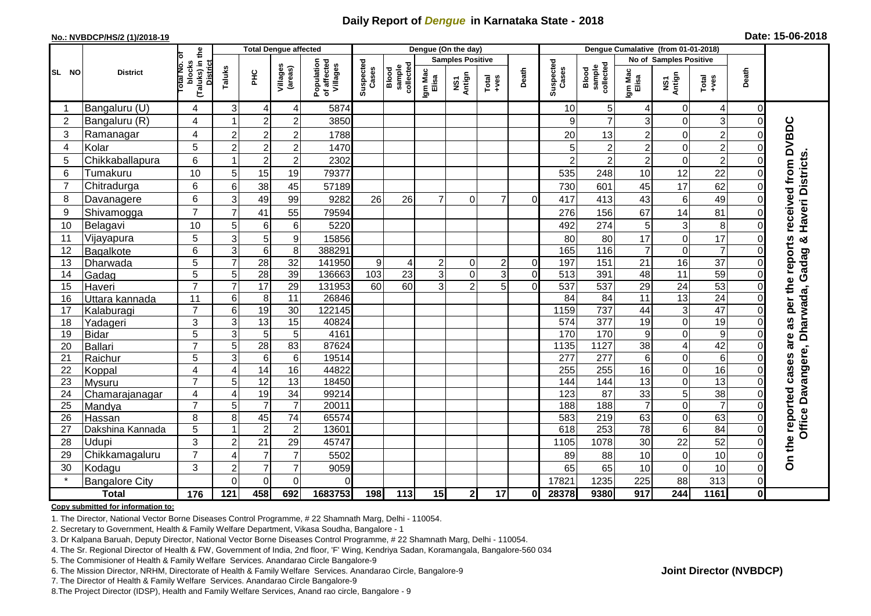## **Daily Report of** *Dengue* **in Karnataka State - 2018**

#### **No.: NVBDCP/HS/2 (1)/2018-19**

|  | Date: 15-06-2018 |  |
|--|------------------|--|
|--|------------------|--|

|                |                          |                                                   |                     | <b>Total Dengue affected</b> |                       |                                       |                    |                              |                  | Dengue (On the day)     |                  |                |                    |                              |                               |                         |                  |              |                       |
|----------------|--------------------------|---------------------------------------------------|---------------------|------------------------------|-----------------------|---------------------------------------|--------------------|------------------------------|------------------|-------------------------|------------------|----------------|--------------------|------------------------------|-------------------------------|-------------------------|------------------|--------------|-----------------------|
|                | <b>District</b>          | ō                                                 |                     |                              |                       |                                       |                    |                              |                  | <b>Samples Positive</b> |                  |                |                    |                              | <b>No of Samples Positive</b> |                         |                  |              |                       |
| SL NO          |                          | (Taluks) in the<br>District<br>otal No.<br>blocks | Taluks              | ΞÉ                           | Villages<br>(areas)   | Population<br>of affected<br>Villages | Suspected<br>Cases | sample<br>collected<br>Blood | Igm Mac<br>Elisa | NS1<br>Antign           | $Tota$<br>$+ves$ | Death          | Suspected<br>Cases | collected<br>sample<br>Blood | Igm Mac<br>Elisa              | NS1<br>Antign           | Total<br>+ves    | Death        |                       |
| -1             | Bangaluru (U)            | 4                                                 | 3                   | $\overline{4}$               | 4                     | 5874                                  |                    |                              |                  |                         |                  |                | 10                 | 5                            | 4                             | $\overline{0}$          | $\overline{4}$   | 0            |                       |
| $\overline{2}$ | Bangaluru (R)            | 4                                                 |                     | $\overline{2}$               | $\overline{c}$        | 3850                                  |                    |                              |                  |                         |                  |                | q                  | $\overline{7}$               | 3                             | $\overline{0}$          | $\mathbf{3}$     |              |                       |
| 3              | Ramanagar                | 4                                                 | $\overline{c}$      | $\overline{2}$               | $\overline{c}$        | 1788                                  |                    |                              |                  |                         |                  |                | 20                 | 13                           | $\overline{c}$                | $\Omega$                | $\overline{c}$   |              | received from DVBDC   |
| $\overline{4}$ | Kolar                    | 5                                                 | $\overline{2}$      | $\overline{2}$               | $\overline{c}$        | 1470                                  |                    |                              |                  |                         |                  |                | 5                  | $\overline{c}$               | $\overline{\mathbf{c}}$       | $\mathbf 0$             | $\overline{c}$   |              |                       |
| 5              | Chikkaballapura          | 6                                                 |                     | $\overline{2}$               | $\overline{c}$        | 2302                                  |                    |                              |                  |                         |                  |                |                    | $\overline{c}$               | $\overline{\mathbf{c}}$       | $\overline{0}$          | $\overline{2}$   |              |                       |
| 6              | Tumakuru                 | 10                                                | 5                   | 15                           | 19                    | 79377                                 |                    |                              |                  |                         |                  |                | 535                | 248                          | 10                            | 12                      | 22               |              |                       |
| $\overline{7}$ | Chitradurga              | 6                                                 | $\,6$               | $\overline{38}$              | 45                    | 57189                                 |                    |                              |                  |                         |                  |                | 730                | 601                          | 45                            | $\overline{17}$         | 62               |              |                       |
| 8              | Davanagere               | 6                                                 | 3                   | 49                           | 99                    | 9282                                  | 26                 | 26                           | 7                | $\Omega$                | $\overline{7}$   | $\Omega$       | 417                | 413                          | 43                            | 6                       | 49               |              |                       |
| 9              | Shivamogga               | $\overline{7}$                                    | $\overline{7}$      | 41                           | 55                    | 79594                                 |                    |                              |                  |                         |                  |                | 276                | 156                          | 67                            | 14                      | 81               |              | Haveri Districts      |
| 10             | Belagavi                 | 10                                                | 5                   | 6                            | 6                     | 5220                                  |                    |                              |                  |                         |                  |                | 492                | 274                          | 5                             | 3                       | 8                |              |                       |
| 11             | Vijayapura               | 5                                                 | $\mathbf{3}$        | 5                            | 9                     | 15856                                 |                    |                              |                  |                         |                  |                | 80                 | 80                           | 17                            | $\mathbf 0$             | 17               |              | ×                     |
| 12             | Bagalkote                | 6                                                 | 3                   | $6\phantom{1}6$              | 8                     | 388291                                |                    |                              |                  |                         |                  |                | 165                | 116                          | $\overline{7}$                | $\overline{0}$          | $\overline{7}$   |              | per the reports       |
| 13             | Dharwada                 | 5                                                 | $\overline{7}$      | $\overline{28}$              | $\overline{32}$       | 141950                                | 9                  | 4                            | $\overline{2}$   | $\Omega$                | $\overline{2}$   | $\Omega$       | 197                | 151                          | 21                            | 16                      | $\overline{37}$  |              | Gadag                 |
| 14             | Gadag                    | $\overline{5}$                                    | $\overline{5}$      | $\overline{28}$              | $\overline{39}$       | 136663                                | 103                | 23                           | 3                | $\overline{0}$          | 3                | $\overline{0}$ | $\overline{513}$   | 391                          | 48                            | 11                      | 59               |              |                       |
| 15             | Haveri                   | $\overline{7}$                                    | $\overline{7}$      | 17                           | 29                    | 131953                                | 60                 | 60                           | 3                | $\overline{2}$          | 5                | $\Omega$       | 537                | 537                          | 29                            | 24                      | 53               |              |                       |
| 16             | Uttara kannada           | 11                                                | $\,6$               | 8                            | 11                    | 26846                                 |                    |                              |                  |                         |                  |                | 84                 | 84                           | 11                            | 13                      | $\overline{24}$  |              | Dharwada,             |
| 17             | Kalaburagi               | $\overline{7}$                                    | $\,6$               | 19                           | $\overline{30}$       | 122145                                |                    |                              |                  |                         |                  |                | 1159               | 737                          | 44                            | 3                       | 47               |              |                       |
| 18             | Yadageri                 | 3                                                 | $\mathbf{3}$        | 13                           | 15                    | 40824                                 |                    |                              |                  |                         |                  |                | 574                | 377                          | 19                            | $\overline{0}$          | 19               |              | 8g                    |
| 19             | <b>Bidar</b>             | 5                                                 | $\mathbf{3}$        | 5                            | 5                     | 4161                                  |                    |                              |                  |                         |                  |                | 170                | 170                          | 9                             | $\Omega$                | $\boldsymbol{9}$ |              | are                   |
| 20             | Ballari                  | $\overline{7}$                                    | $\overline{5}$      | 28                           | 83                    | 87624                                 |                    |                              |                  |                         |                  |                | 1135               | 1127                         | $\overline{38}$               | $\overline{\mathbf{4}}$ | $\overline{42}$  |              |                       |
| 21             | Raichur                  | 5                                                 | 3                   | $\,6$                        | $\,6\,$               | 19514                                 |                    |                              |                  |                         |                  |                | 277                | $\overline{277}$             | 6                             | $\overline{0}$          | $6\phantom{1}6$  |              |                       |
| 22             | Koppal                   | 4<br>$\overline{7}$                               | 4                   | $\overline{14}$              | 16                    | 44822                                 |                    |                              |                  |                         |                  |                | 255                | 255                          | 16                            | $\overline{0}$          | 16               |              |                       |
| 23<br>24       | Mysuru                   |                                                   | 5<br>$\overline{4}$ | 12<br>19                     | $\overline{13}$<br>34 | 18450<br>99214                        |                    |                              |                  |                         |                  |                | 144<br>123         | 144<br>$\overline{87}$       | $\overline{13}$<br>33         | $\overline{0}$<br>5     | 13<br>38         |              |                       |
| 25             | Chamarajanagar<br>Mandya | 4<br>$\overline{7}$                               | 5                   | $\overline{7}$               | $\overline{7}$        | 20011                                 |                    |                              |                  |                         |                  |                | 188                | 188                          | $\overline{7}$                | $\overline{0}$          | $\overline{7}$   |              | Office Davangere,     |
| 26             | Hassan                   | 8                                                 | 8                   | 45                           | 74                    | 65574                                 |                    |                              |                  |                         |                  |                | 583                | 219                          | 63                            | $\mathbf 0$             | 63               |              |                       |
| 27             | Dakshina Kannada         | 5                                                 |                     | $\overline{2}$               | $\overline{c}$        | 13601                                 |                    |                              |                  |                         |                  |                | 618                | 253                          | 78                            | 6                       | 84               | $\Omega$     |                       |
| 28             | Udupi                    | 3                                                 | $\overline{c}$      | 21                           | 29                    | 45747                                 |                    |                              |                  |                         |                  |                | 1105               | 1078                         | 30                            | 22                      | 52               |              | On the reported cases |
| 29             | Chikkamagaluru           | $\overline{7}$                                    | $\overline{4}$      | $\overline{7}$               | $\overline{7}$        | 5502                                  |                    |                              |                  |                         |                  |                | 89                 | 88                           | 10                            | $\overline{0}$          | 10               |              |                       |
| 30             | Kodagu                   | 3                                                 | $\overline{2}$      | $\overline{7}$               | $\overline{7}$        | 9059                                  |                    |                              |                  |                         |                  |                | 65                 | 65                           | 10                            | $\overline{0}$          | 10               |              |                       |
|                | <b>Bangalore City</b>    |                                                   | $\Omega$            | $\mathbf{0}$                 | $\overline{0}$        | $\Omega$                              |                    |                              |                  |                         |                  |                | 17821              | 1235                         | 225                           | 88                      | 313              | 0            |                       |
|                | <b>Total</b>             | 176                                               | 121                 | 458                          | 692                   | 1683753                               | 198                | 113                          | 15               | $\mathbf{2}$            | 17               | 0l             | 28378              | 9380                         | 917                           | 244                     | 1161             | $\mathbf{0}$ |                       |

#### **Copy submitted for information to:**

1. The Director, National Vector Borne Diseases Control Programme, # 22 Shamnath Marg, Delhi - 110054.

2. Secretary to Government, Health & Family Welfare Department, Vikasa Soudha, Bangalore - 1

3. Dr Kalpana Baruah, Deputy Director, National Vector Borne Diseases Control Programme, # 22 Shamnath Marg, Delhi - 110054.

4. The Sr. Regional Director of Health & FW, Government of India, 2nd floor, 'F' Wing, Kendriya Sadan, Koramangala, Bangalore-560 034

5. The Commisioner of Health & Family Welfare Services. Anandarao Circle Bangalore-9

6. The Mission Director, NRHM, Directorate of Health & Family Welfare Services. Anandarao Circle, Bangalore-9

7. The Director of Health & Family Welfare Services. Anandarao Circle Bangalore-9

8.The Project Director (IDSP), Health and Family Welfare Services, Anand rao circle, Bangalore - 9